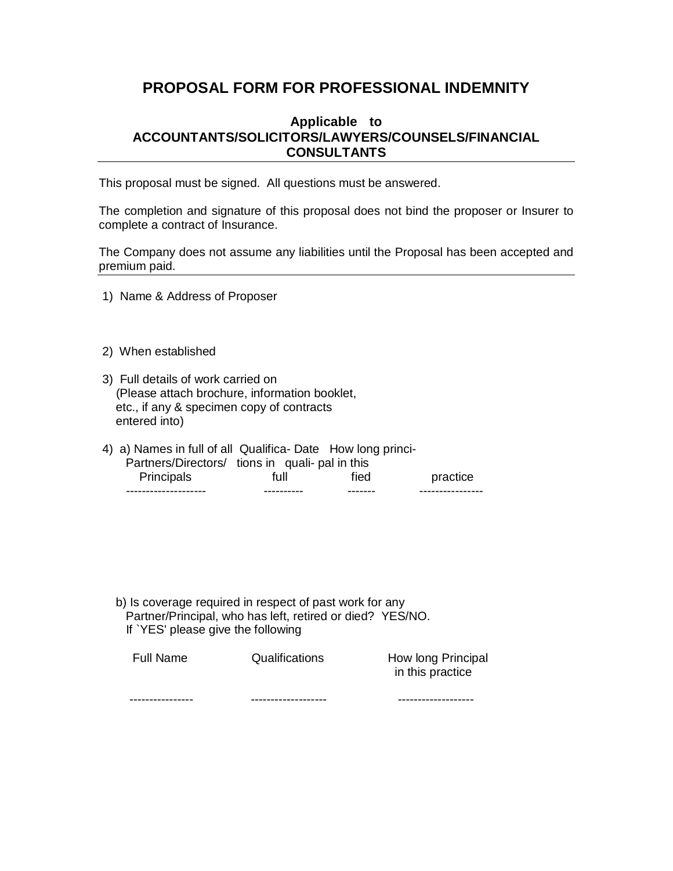# **PROPOSAL FORM FOR PROFESSIONAL INDEMNITY**

## **Applicable to ACCOUNTANTS/SOLICITORS/LAWYERS/COUNSELS/FINANCIAL CONSULTANTS**

This proposal must be signed. All questions must be answered.

The completion and signature of this proposal does not bind the proposer or Insurer to complete a contract of Insurance.

The Company does not assume any liabilities until the Proposal has been accepted and premium paid.

- 1) Name & Address of Proposer
- 2) When established
- 3) Full details of work carried on (Please attach brochure, information booklet, etc., if any & specimen copy of contracts entered into)
- 4) a) Names in full of all Qualifica- Date How long princi- Partners/Directors/ tions in quali- pal in this Principals full fied practice -------------------- ---------- ------- ----------------

 b) Is coverage required in respect of past work for any Partner/Principal, who has left, retired or died? YES/NO. If `YES' please give the following

| Full Name      | Qualifications | How long Principal<br>in this practice |
|----------------|----------------|----------------------------------------|
| -------------- | -------------  |                                        |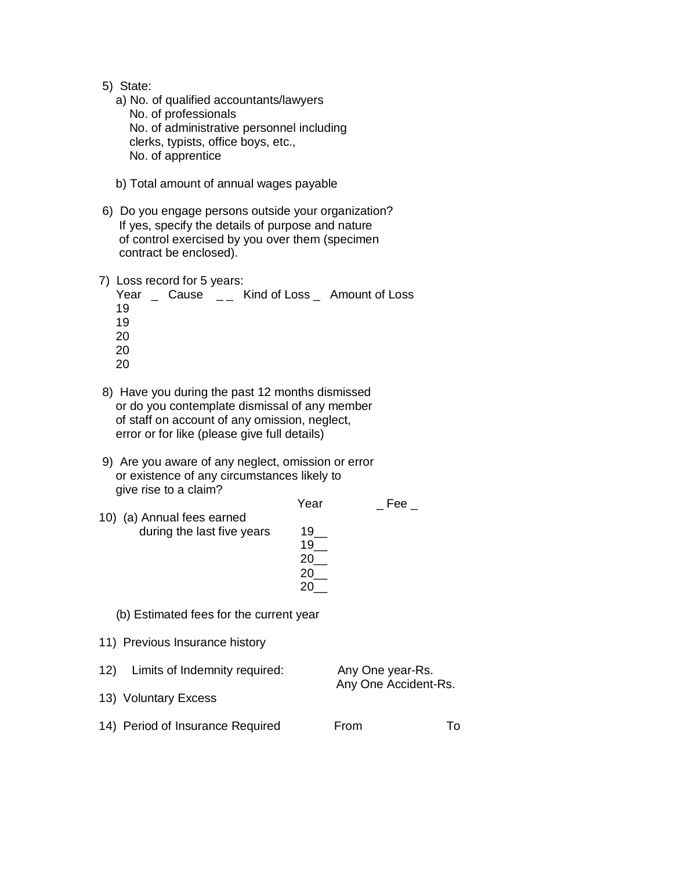- 5) State:
	- a) No. of qualified accountants/lawyers No. of professionals No. of administrative personnel including clerks, typists, office boys, etc., No. of apprentice
	- b) Total amount of annual wages payable
- 6) Do you engage persons outside your organization? If yes, specify the details of purpose and nature of control exercised by you over them (specimen contract be enclosed).
- 7) Loss record for 5 years:

|    |  |  | Year Cause _ Kind of Loss _ Amount of Loss |
|----|--|--|--------------------------------------------|
| 19 |  |  |                                            |
| 19 |  |  |                                            |
| 20 |  |  |                                            |
| 20 |  |  |                                            |
| ንስ |  |  |                                            |

- 8) Have you during the past 12 months dismissed or do you contemplate dismissal of any member of staff on account of any omission, neglect, error or for like (please give full details)
- 9) Are you aware of any neglect, omission or error or existence of any circumstances likely to give rise to a claim?

|                                         | Year              | Fee              |
|-----------------------------------------|-------------------|------------------|
| 10) (a) Annual fees earned              |                   |                  |
| during the last five years              | $19$ <sub>—</sub> |                  |
|                                         | $19$ <sub>—</sub> |                  |
|                                         | 20                |                  |
|                                         | 20                |                  |
|                                         | 20 -              |                  |
| (b) Estimated fees for the current year |                   |                  |
| 11) Previous Insurance history          |                   |                  |
| 12)<br>Limits of Indemnity required:    |                   | Any One year-Rs. |

- 13) Voluntary Excess
- 14) Period of Insurance Required From To

Any One Accident-Rs.